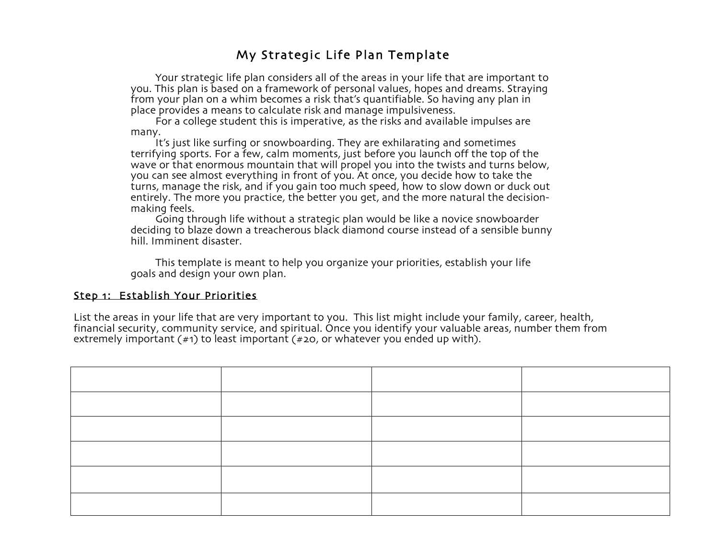### My Strategic Life Plan Template

Your strategic life plan considers all of the areas in your life that are important to you. This plan is based on a framework of personal values, hopes and dreams. Straying from your plan on a whim becomes a risk that's quantifiable. So having any plan in place provides a means to calculate risk and manage impulsiveness.

For a college student this is imperative, as the risks and available impulses are many.

It's just like surfing or snowboarding. They are exhilarating and sometimes terrifying sports. For a few, calm moments, just before you launch off the top of the wave or that enormous mountain that will propel you into the twists and turns below, you can see almost everything in front of you. At once, you decide how to take the turns, manage the risk, and if you gain too much speed, how to slow down or duck out entirely. The more you practice, the better you get, and the more natural the decisionmaking feels. Going through life without <sup>a</sup> strategic plan would be like <sup>a</sup> novice snowboarder

deciding to blaze down a treacherous black diamond course instead of a sensible bunny hill. Imminent disaster.

This template is meant to help you organize your priorities, establish your life goals and design your own plan.

#### Step 1: Establish Your Priorities

List the areas in your life that are very important to you. This list might include your family, career, health, financial security, community service, and spiritual. Once you identify your valuable areas, number them from extremely important (#1) to least important (#20, or whatever you ended up with).

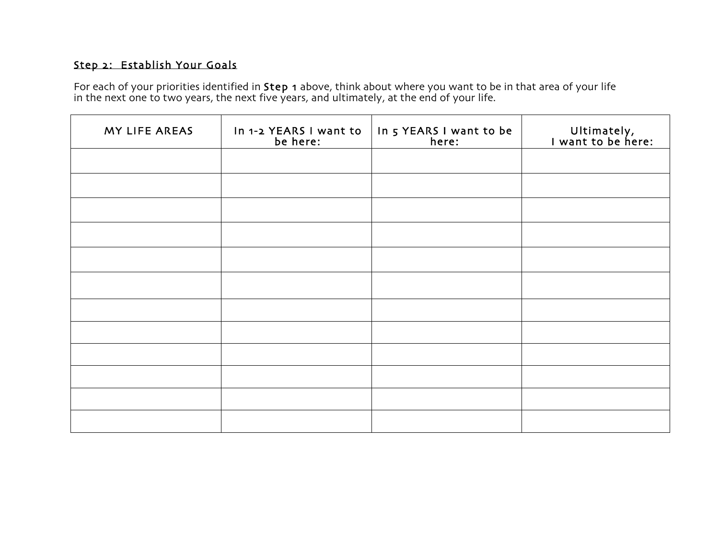### Step 2: Establish Your Goals

For each of your priorities identified in Step 1 above, think about where you want to be in that area of your life in the next one to two years, the next five years, and ultimately, at the end of your life.

| MY LIFE AREAS | In 1-2 YEARS I want to<br>be here: | In 5 YEARS I want to be<br>here: | Ultimately,<br>I want to be here: |
|---------------|------------------------------------|----------------------------------|-----------------------------------|
|               |                                    |                                  |                                   |
|               |                                    |                                  |                                   |
|               |                                    |                                  |                                   |
|               |                                    |                                  |                                   |
|               |                                    |                                  |                                   |
|               |                                    |                                  |                                   |
|               |                                    |                                  |                                   |
|               |                                    |                                  |                                   |
|               |                                    |                                  |                                   |
|               |                                    |                                  |                                   |
|               |                                    |                                  |                                   |
|               |                                    |                                  |                                   |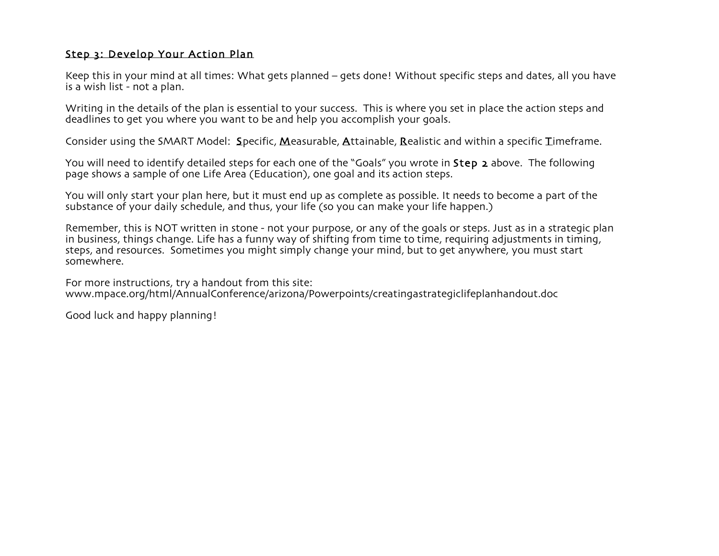#### Step 3: Develop Your Action Plan

Keep this in your mind at all times: What gets planned – gets done! Without specific steps and dates, all you have is a wish list - not a plan.

Writing in the details of the plan is essential to your success. This is where you set in place the action steps and deadlines to get you where you want to be and help you accomplish your goals.

Consider using the SMART Model: Specific, Measurable, Attainable, Realistic and within a specific Timeframe.

You will need to identify detailed steps for each one of the "Goals" you wrote in Step 2 above. The following page shows a sample of one Life Area (Education), one goal and its action steps.

You will only start your plan here, but it must end up as complete as possible. It needs to become a part of the substance of your daily schedule, and thus, your life (so you can make your life happen.)

Remember, this is NOT written in stone - not your purpose, or any of the goals or steps. Just as in a strategic plan in business, things change. Life has a funny way of shifting from time to time, requiring adjustments in timing, steps, and resources. Sometimes you might simply change your mind, but to get anywhere, you must start somewhere.

For more instructions, try a handout from this site: www.mpace.org/html/AnnualConference/arizona/Powerpoints/creatingastrategiclifeplanhandout.doc

Good luck and happy planning!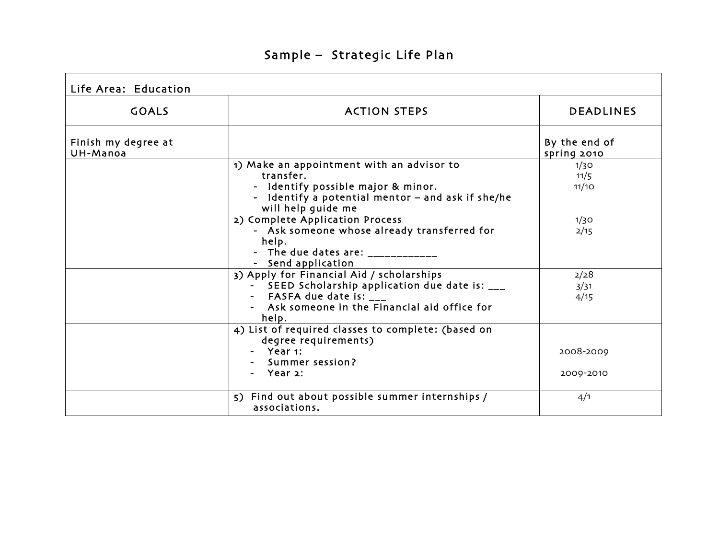# Sample – Strategic Life Plan

| Life Area: Education                   |                                                                                                                                                                                              |                              |
|----------------------------------------|----------------------------------------------------------------------------------------------------------------------------------------------------------------------------------------------|------------------------------|
| <b>GOALS</b>                           | <b>ACTION STEPS</b>                                                                                                                                                                          | <b>DEADLINES</b>             |
| Finish my degree at<br><b>UH-Manoa</b> |                                                                                                                                                                                              | By the end of<br>spring 2010 |
|                                        | 1) Make an appointment with an advisor to<br>transfer.<br>- Identify possible major & minor.<br>- Identify a potential mentor - and ask if she/he<br>will help guide me                      | 1/30<br>11/5<br>11/10        |
|                                        | 2) Complete Application Process<br>- Ask someone whose already transferred for<br>help.<br>- The due dates are: ____________<br>- Send application                                           | 1/30<br>2/15                 |
|                                        | 3) Apply for Financial Aid / scholarships<br>- SEED Scholarship application due date is: ___<br>- FASFA due date is: $\frac{1}{2}$<br>- Ask someone in the Financial aid office for<br>help. | 2/28<br>3/31<br>4/15         |
|                                        | 4) List of required classes to complete: (based on<br>degree requirements)<br>$-$ Year 1:<br>Summer session?<br>- Year 2:                                                                    | 2008-2009<br>2009-2010       |
|                                        | 5) Find out about possible summer internships /<br>associations.                                                                                                                             | 4/1                          |

I